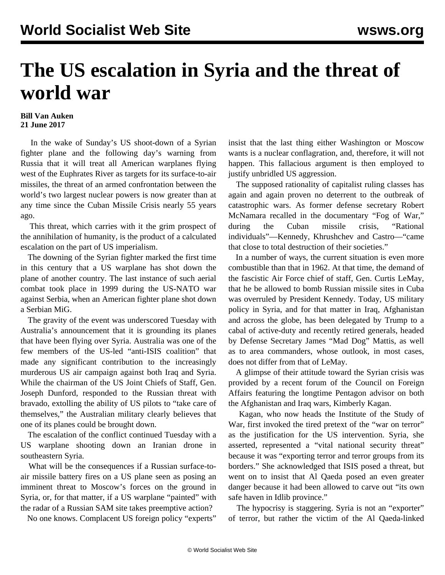## **The US escalation in Syria and the threat of world war**

## **Bill Van Auken 21 June 2017**

 In the wake of Sunday's US shoot-down of a Syrian fighter plane and the following day's warning from Russia that it will treat all American warplanes flying west of the Euphrates River as targets for its surface-to-air missiles, the threat of an armed confrontation between the world's two largest nuclear powers is now greater than at any time since the Cuban Missile Crisis nearly 55 years ago.

 This threat, which carries with it the grim prospect of the annihilation of humanity, is the product of a calculated escalation on the part of US imperialism.

 The downing of the Syrian fighter marked the first time in this century that a US warplane has shot down the plane of another country. The last instance of such aerial combat took place in 1999 during the US-NATO war against Serbia, when an American fighter plane shot down a Serbian MiG.

 The gravity of the event was underscored Tuesday with Australia's announcement that it is grounding its planes that have been flying over Syria. Australia was one of the few members of the US-led "anti-ISIS coalition" that made any significant contribution to the increasingly murderous US air campaign against both Iraq and Syria. While the chairman of the US Joint Chiefs of Staff, Gen. Joseph Dunford, responded to the Russian threat with bravado, extolling the ability of US pilots to "take care of themselves," the Australian military clearly believes that one of its planes could be brought down.

 The escalation of the conflict continued Tuesday with a US warplane shooting down an Iranian drone in southeastern Syria.

 What will be the consequences if a Russian surface-toair missile battery fires on a US plane seen as posing an imminent threat to Moscow's forces on the ground in Syria, or, for that matter, if a US warplane "painted" with the radar of a Russian SAM site takes preemptive action?

No one knows. Complacent US foreign policy "experts"

insist that the last thing either Washington or Moscow wants is a nuclear conflagration, and, therefore, it will not happen. This fallacious argument is then employed to justify unbridled US aggression.

 The supposed rationality of capitalist ruling classes has again and again proven no deterrent to the outbreak of catastrophic wars. As former defense secretary Robert McNamara recalled in the documentary "Fog of War," during the Cuban missile crisis, "Rational individuals"—Kennedy, Khrushchev and Castro—"came that close to total destruction of their societies."

 In a number of ways, the current situation is even more combustible than that in 1962. At that time, the demand of the fascistic Air Force chief of staff, Gen. Curtis LeMay, that he be allowed to bomb Russian missile sites in Cuba was overruled by President Kennedy. Today, US military policy in Syria, and for that matter in Iraq, Afghanistan and across the globe, has been delegated by Trump to a cabal of active-duty and recently retired generals, headed by Defense Secretary James "Mad Dog" Mattis, as well as to area commanders, whose outlook, in most cases, does not differ from that of LeMay.

 A glimpse of their attitude toward the Syrian crisis was provided by a recent forum of the Council on Foreign Affairs featuring the longtime Pentagon advisor on both the Afghanistan and Iraq wars, Kimberly Kagan.

 Kagan, who now heads the Institute of the Study of War, first invoked the tired pretext of the "war on terror" as the justification for the US intervention. Syria, she asserted, represented a "vital national security threat" because it was "exporting terror and terror groups from its borders." She acknowledged that ISIS posed a threat, but went on to insist that Al Qaeda posed an even greater danger because it had been allowed to carve out "its own safe haven in Idlib province."

 The hypocrisy is staggering. Syria is not an "exporter" of terror, but rather the victim of the Al Qaeda-linked